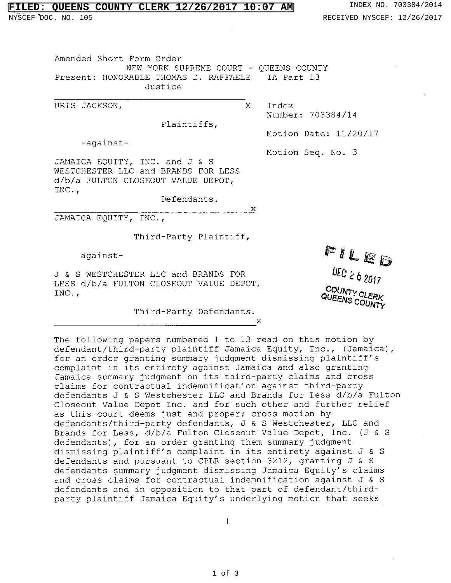## **FILED: QUEENS COUNTY CLERK 12/26/2017 10:07 AM** INDEX NO. 703384/2014

Amended Short Form Order NEW YORK SUPREME COURT - QUEENS COUNTY Present: HONORABLE THOMAS D. RAFFAELE IA Part 13 Justice

URIS JACKSON,  $X$  Index

Plaintiffs,

-against-

Motion Seq. No. 3

Motion Date: 11/20/17

Number: 703384/14

JAMAICA EQUITY, INC. and J & S WESTCHESTER LLC and BRANDS FOR LESS d/b/a FULTON CLOSEOUT VALUE DEPOT, INC.,

Defendants.

 $\mathbf{x}$ 

 $\mathbf{x}$ 

JAMAICA EQUITY, INC.,

Third-Party Plaintiff,

J & S WESTCHESTER LLC and BRANDS FOR LESS d/b/a FULTON CLOSEOUT VALUE DEPOT, INC.,

Third-Party Defendants.

The following papers numbered 1 to 13 read on this motion by defendant/third-party plaintiff Jamaica Equity, Inc., (Jamaica), for an order granting summary judgment dismissing plaintiff's complaint in its entirety against Jamaica and also granting Jamaica summary judgment on its third-party claims and cross claims for contractual indemnification against third-party defendants J & S Westchester LLC and Brands for Less d/b/a Fulton Closeout Value Depot Inc. and for such other and further relief as this court deems just and proper; cross motion by defendants/third-party defendants, J & S Westchester, LLC and Brands for Less, d/b/a Fulton Closeout Value Depot, Inc. (J & S defendants), for an order granting them summary judgment dismissing plaintiff's complaint in its entirety against J & S defendants and pursuant to CPLR section 3212, granting J & S defendants summary judgment dismissing Jamaica Equity's claims and cross claims for contractual indemnification against J & S defendants and in opposition to that part of defendant/thirdparty plaintiff Jamaica Equity's underlying motion that seeks

against- PHLED

*DEC 26 2017 COUNTY CLERK* **QUEENS COUNTY** 

 $\mathbf{1}$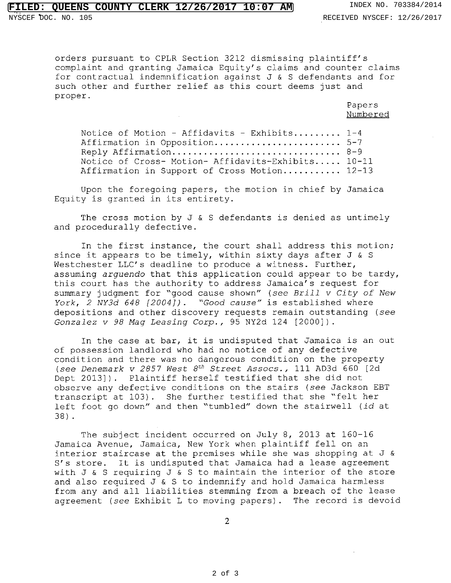## **FILED: QUEENS COUNTY CLERK 12/26/2017 10:07 AM** INDEX NO. 703384/2014

orders pursuant to CPLR Section 3212 dismissing plaintiff's complaint and granting Jamaica Equity's claims and counter claims for contractual indemnification against J & S defendants and for such other and further relief as this court deems just and proper.

> Papers Numbered

Notice of Motion - Affidavits - Exhibits........  $1-4$ Affirmation in Opposition........................ 5-7 Reply Affirmation 8-9 Notice of Cross- Motion- Affidavits-Exhibits..... 10-11 Affirmation in Support of Cross Motion.......... 12-13

Upon the foregoing papers, the motion in chief by Jamaica Equity is granted in its entirety.

The cross motion by J & S defendants is denied as untimely and procedurally defective.

In the first instance, the court shall address this motion; since it appears to be timely, within sixty days after  $J \& S$ Westchester LLC's deadline to produce a witness. Further, assuming arguendo that this application could appear to be tardy, this court has the authority to address Jamaica's request for summary judgment for "good cause shown" (see Brill v City of New York, 2 NY3d 648 [2004]). "Good cause" is established where depositions and other discovery requests remain outstanding (see Gonzalez v 98 Mag Leasing Corp., 95 NY2d 124  $[2000]$ ).

In the case at bar, it is undisputed that Jamaica is an out of possession landlord who had no notice of any defective condition and there was no dangerous condition on the property (see Denemark v 2857 West  $8<sup>th</sup>$  Street Assocs., 111 AD3d 660 [2d Dept 2013]). Plaintiff herself testified that she did not observe any defective conditions on the stairs (see Jackson EBT transcript at 103). She further testified that she "felt her left foot go down" and then "tumbled" down the stairwell (id at 38).

The subject incident occurred on July 8, 2013 at 160-16 Jamaica Avenue, Jamaica, New York when plaintiff fell on an interior staircase at the premises while she was shopping at J & S's store. It is undisputed that Jamaica had a lease agreement with J & S requiring J & S to maintain the interior of the store and also required J & S to indemnify and hold Jamaica harmless from any and all liabilities stemming from a breach of the lease agreement (see Exhibit L to moving papers). The record is devoid

2